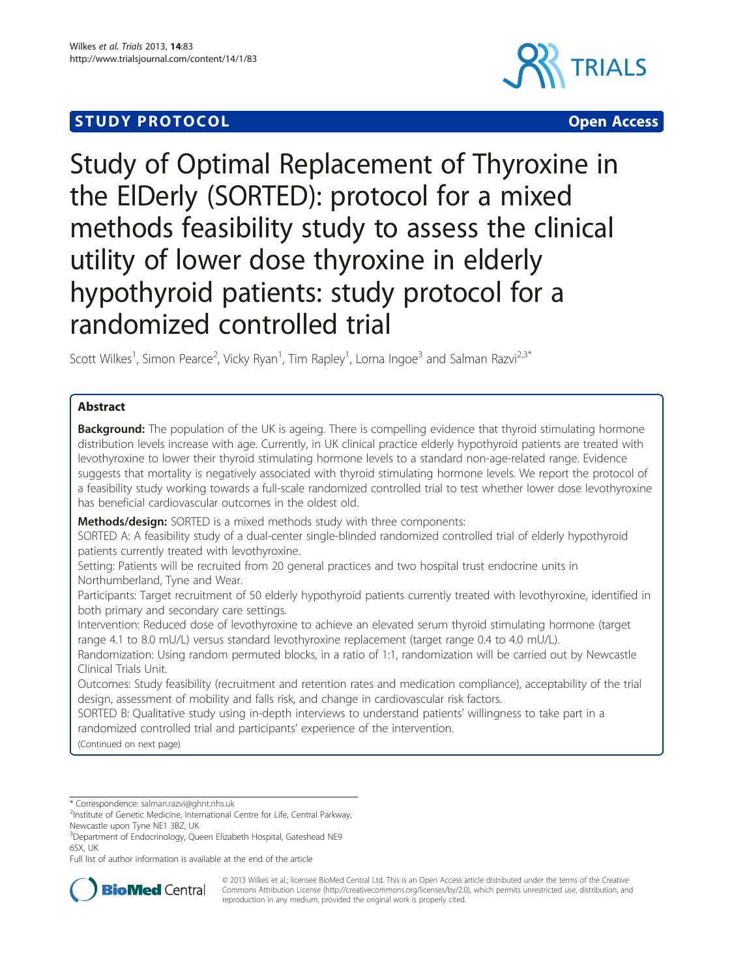## **STUDY PROTOCOL CONSUMING THE CONSUMING OPEN ACCESS**





# Study of Optimal Replacement of Thyroxine in the ElDerly (SORTED): protocol for a mixed methods feasibility study to assess the clinical utility of lower dose thyroxine in elderly hypothyroid patients: study protocol for a randomized controlled trial

Scott Wilkes<sup>1</sup>, Simon Pearce<sup>2</sup>, Vicky Ryan<sup>1</sup>, Tim Rapley<sup>1</sup>, Lorna Ingoe<sup>3</sup> and Salman Razvi<sup>2,3\*</sup>

## Abstract

Background: The population of the UK is ageing. There is compelling evidence that thyroid stimulating hormone distribution levels increase with age. Currently, in UK clinical practice elderly hypothyroid patients are treated with levothyroxine to lower their thyroid stimulating hormone levels to a standard non-age-related range. Evidence suggests that mortality is negatively associated with thyroid stimulating hormone levels. We report the protocol of a feasibility study working towards a full-scale randomized controlled trial to test whether lower dose levothyroxine has beneficial cardiovascular outcomes in the oldest old.

Methods/design: SORTED is a mixed methods study with three components:

SORTED A: A feasibility study of a dual-center single-blinded randomized controlled trial of elderly hypothyroid patients currently treated with levothyroxine.

Setting: Patients will be recruited from 20 general practices and two hospital trust endocrine units in Northumberland, Tyne and Wear.

Participants: Target recruitment of 50 elderly hypothyroid patients currently treated with levothyroxine, identified in both primary and secondary care settings.

Intervention: Reduced dose of levothyroxine to achieve an elevated serum thyroid stimulating hormone (target range 4.1 to 8.0 mU/L) versus standard levothyroxine replacement (target range 0.4 to 4.0 mU/L).

Randomization: Using random permuted blocks, in a ratio of 1:1, randomization will be carried out by Newcastle Clinical Trials Unit.

Outcomes: Study feasibility (recruitment and retention rates and medication compliance), acceptability of the trial design, assessment of mobility and falls risk, and change in cardiovascular risk factors.

SORTED B: Qualitative study using in-depth interviews to understand patients' willingness to take part in a randomized controlled trial and participants' experience of the intervention.

(Continued on next page)

3 Department of Endocrinology, Queen Elizabeth Hospital, Gateshead NE9 6SX, UK

Full list of author information is available at the end of the article



© 2013 Wilkes et al.; licensee BioMed Central Ltd. This is an Open Access article distributed under the terms of the Creative Commons Attribution License [\(http://creativecommons.org/licenses/by/2.0\)](http://creativecommons.org/licenses/by/2.0), which permits unrestricted use, distribution, and reproduction in any medium, provided the original work is properly cited.

<sup>\*</sup> Correspondence: [salman.razvi@ghnt.nhs.uk](mailto:salman.razvi@ghnt.nhs.uk) <sup>2</sup>

<sup>&</sup>lt;sup>2</sup>Institute of Genetic Medicine, International Centre for Life, Central Parkway, Newcastle upon Tyne NE1 3BZ, UK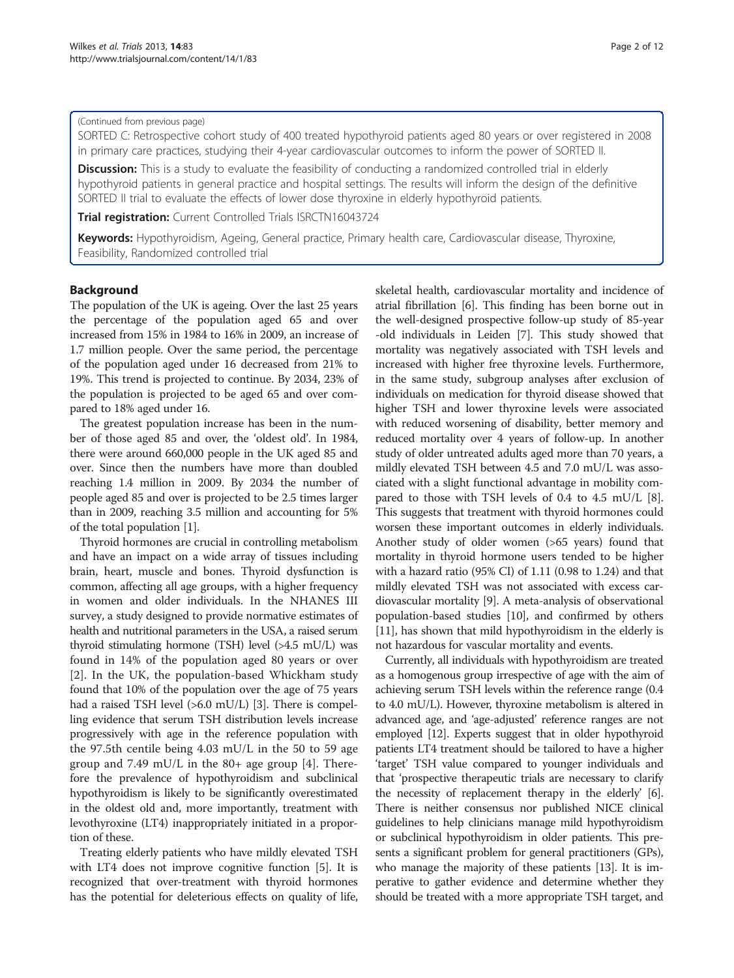## (Continued from previous page)

SORTED C: Retrospective cohort study of 400 treated hypothyroid patients aged 80 years or over registered in 2008 in primary care practices, studying their 4-year cardiovascular outcomes to inform the power of SORTED II.

**Discussion:** This is a study to evaluate the feasibility of conducting a randomized controlled trial in elderly hypothyroid patients in general practice and hospital settings. The results will inform the design of the definitive SORTED II trial to evaluate the effects of lower dose thyroxine in elderly hypothyroid patients.

**Trial registration:** Current Controlled Trials [ISRCTN16043724](http://www.controlled-trials.com/ISRCTN16043724)

Keywords: Hypothyroidism, Ageing, General practice, Primary health care, Cardiovascular disease, Thyroxine, Feasibility, Randomized controlled trial

## Background

The population of the UK is ageing. Over the last 25 years the percentage of the population aged 65 and over increased from 15% in 1984 to 16% in 2009, an increase of 1.7 million people. Over the same period, the percentage of the population aged under 16 decreased from 21% to 19%. This trend is projected to continue. By 2034, 23% of the population is projected to be aged 65 and over compared to 18% aged under 16.

The greatest population increase has been in the number of those aged 85 and over, the 'oldest old'. In 1984, there were around 660,000 people in the UK aged 85 and over. Since then the numbers have more than doubled reaching 1.4 million in 2009. By 2034 the number of people aged 85 and over is projected to be 2.5 times larger than in 2009, reaching 3.5 million and accounting for 5% of the total population [[1\]](#page-11-0).

Thyroid hormones are crucial in controlling metabolism and have an impact on a wide array of tissues including brain, heart, muscle and bones. Thyroid dysfunction is common, affecting all age groups, with a higher frequency in women and older individuals. In the NHANES III survey, a study designed to provide normative estimates of health and nutritional parameters in the USA, a raised serum thyroid stimulating hormone (TSH) level (>4.5 mU/L) was found in 14% of the population aged 80 years or over [[2\]](#page-11-0). In the UK, the population-based Whickham study found that 10% of the population over the age of 75 years had a raised TSH level (>6.0 mU/L) [\[3](#page-11-0)]. There is compelling evidence that serum TSH distribution levels increase progressively with age in the reference population with the 97.5th centile being 4.03 mU/L in the 50 to 59 age group and 7.49 mU/L in the 80+ age group [\[4](#page-11-0)]. Therefore the prevalence of hypothyroidism and subclinical hypothyroidism is likely to be significantly overestimated in the oldest old and, more importantly, treatment with levothyroxine (LT4) inappropriately initiated in a proportion of these.

Treating elderly patients who have mildly elevated TSH with LT4 does not improve cognitive function [\[5\]](#page-11-0). It is recognized that over-treatment with thyroid hormones has the potential for deleterious effects on quality of life, skeletal health, cardiovascular mortality and incidence of atrial fibrillation [[6](#page-11-0)]. This finding has been borne out in the well-designed prospective follow-up study of 85-year -old individuals in Leiden [[7](#page-11-0)]. This study showed that mortality was negatively associated with TSH levels and increased with higher free thyroxine levels. Furthermore, in the same study, subgroup analyses after exclusion of individuals on medication for thyroid disease showed that higher TSH and lower thyroxine levels were associated with reduced worsening of disability, better memory and reduced mortality over 4 years of follow-up. In another study of older untreated adults aged more than 70 years, a mildly elevated TSH between 4.5 and 7.0 mU/L was associated with a slight functional advantage in mobility compared to those with TSH levels of 0.4 to 4.5 mU/L [[8](#page-11-0)]. This suggests that treatment with thyroid hormones could worsen these important outcomes in elderly individuals. Another study of older women (>65 years) found that mortality in thyroid hormone users tended to be higher with a hazard ratio (95% CI) of 1.11 (0.98 to 1.24) and that mildly elevated TSH was not associated with excess cardiovascular mortality [\[9\]](#page-11-0). A meta-analysis of observational population-based studies [\[10\]](#page-11-0), and confirmed by others [[11](#page-11-0)], has shown that mild hypothyroidism in the elderly is not hazardous for vascular mortality and events.

Currently, all individuals with hypothyroidism are treated as a homogenous group irrespective of age with the aim of achieving serum TSH levels within the reference range (0.4 to 4.0 mU/L). However, thyroxine metabolism is altered in advanced age, and 'age-adjusted' reference ranges are not employed [\[12\]](#page-11-0). Experts suggest that in older hypothyroid patients LT4 treatment should be tailored to have a higher 'target' TSH value compared to younger individuals and that 'prospective therapeutic trials are necessary to clarify the necessity of replacement therapy in the elderly' [[6](#page-11-0)]. There is neither consensus nor published NICE clinical guidelines to help clinicians manage mild hypothyroidism or subclinical hypothyroidism in older patients. This presents a significant problem for general practitioners (GPs), who manage the majority of these patients [\[13\]](#page-11-0). It is imperative to gather evidence and determine whether they should be treated with a more appropriate TSH target, and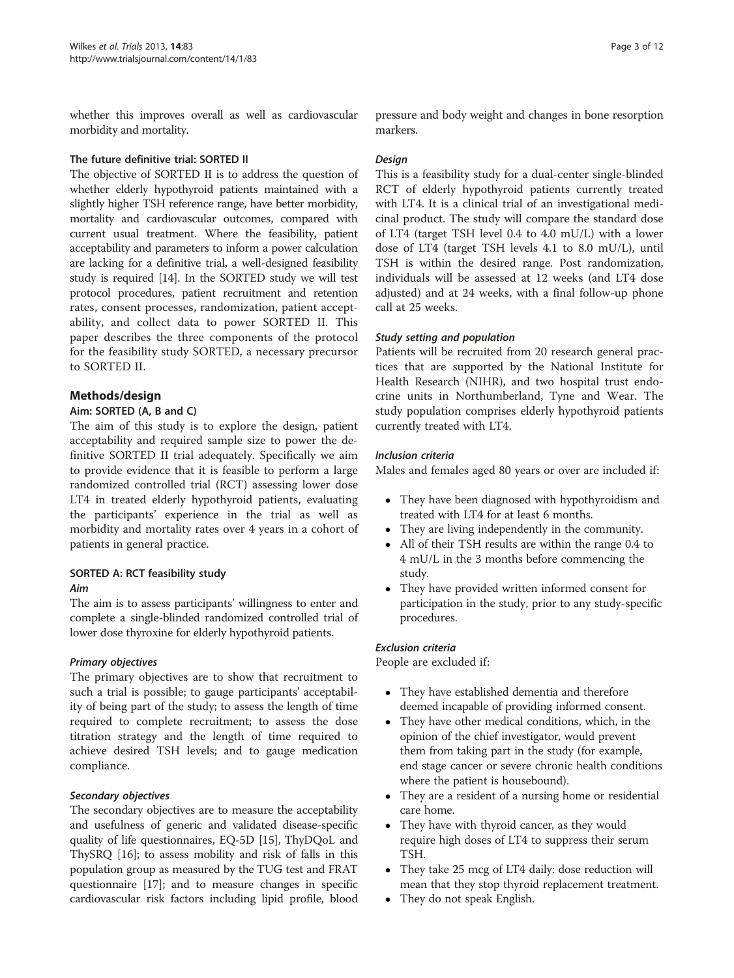whether this improves overall as well as cardiovascular morbidity and mortality.

## The future definitive trial: SORTED II

The objective of SORTED II is to address the question of whether elderly hypothyroid patients maintained with a slightly higher TSH reference range, have better morbidity, mortality and cardiovascular outcomes, compared with current usual treatment. Where the feasibility, patient acceptability and parameters to inform a power calculation are lacking for a definitive trial, a well-designed feasibility study is required [[14](#page-11-0)]. In the SORTED study we will test protocol procedures, patient recruitment and retention rates, consent processes, randomization, patient acceptability, and collect data to power SORTED II. This paper describes the three components of the protocol for the feasibility study SORTED, a necessary precursor to SORTED II.

## Methods/design

## Aim: SORTED (A, B and C)

The aim of this study is to explore the design, patient acceptability and required sample size to power the definitive SORTED II trial adequately. Specifically we aim to provide evidence that it is feasible to perform a large randomized controlled trial (RCT) assessing lower dose LT4 in treated elderly hypothyroid patients, evaluating the participants' experience in the trial as well as morbidity and mortality rates over 4 years in a cohort of patients in general practice.

## SORTED A: RCT feasibility study

#### Aim

The aim is to assess participants' willingness to enter and complete a single-blinded randomized controlled trial of lower dose thyroxine for elderly hypothyroid patients.

## Primary objectives

The primary objectives are to show that recruitment to such a trial is possible; to gauge participants' acceptability of being part of the study; to assess the length of time required to complete recruitment; to assess the dose titration strategy and the length of time required to achieve desired TSH levels; and to gauge medication compliance.

## Secondary objectives

The secondary objectives are to measure the acceptability and usefulness of generic and validated disease-specific quality of life questionnaires, EQ-5D [\[15\]](#page-11-0), ThyDQoL and ThySRQ [\[16\]](#page-11-0); to assess mobility and risk of falls in this population group as measured by the TUG test and FRAT questionnaire [\[17\]](#page-11-0); and to measure changes in specific cardiovascular risk factors including lipid profile, blood

## Design

This is a feasibility study for a dual-center single-blinded RCT of elderly hypothyroid patients currently treated with LT4. It is a clinical trial of an investigational medicinal product. The study will compare the standard dose of LT4 (target TSH level 0.4 to 4.0 mU/L) with a lower dose of LT4 (target TSH levels 4.1 to 8.0 mU/L), until TSH is within the desired range. Post randomization, individuals will be assessed at 12 weeks (and LT4 dose adjusted) and at 24 weeks, with a final follow-up phone call at 25 weeks.

## Study setting and population

Patients will be recruited from 20 research general practices that are supported by the National Institute for Health Research (NIHR), and two hospital trust endocrine units in Northumberland, Tyne and Wear. The study population comprises elderly hypothyroid patients currently treated with LT4.

## Inclusion criteria

Males and females aged 80 years or over are included if:

- They have been diagnosed with hypothyroidism and treated with LT4 for at least 6 months.
- They are living independently in the community.
- All of their TSH results are within the range 0.4 to 4 mU/L in the 3 months before commencing the study.
- They have provided written informed consent for participation in the study, prior to any study-specific procedures.

#### Exclusion criteria

People are excluded if:

- They have established dementia and therefore deemed incapable of providing informed consent.
- They have other medical conditions, which, in the opinion of the chief investigator, would prevent them from taking part in the study (for example, end stage cancer or severe chronic health conditions where the patient is housebound).
- They are a resident of a nursing home or residential care home.
- They have with thyroid cancer, as they would require high doses of LT4 to suppress their serum TSH.
- They take 25 mcg of LT4 daily: dose reduction will mean that they stop thyroid replacement treatment.
- They do not speak English.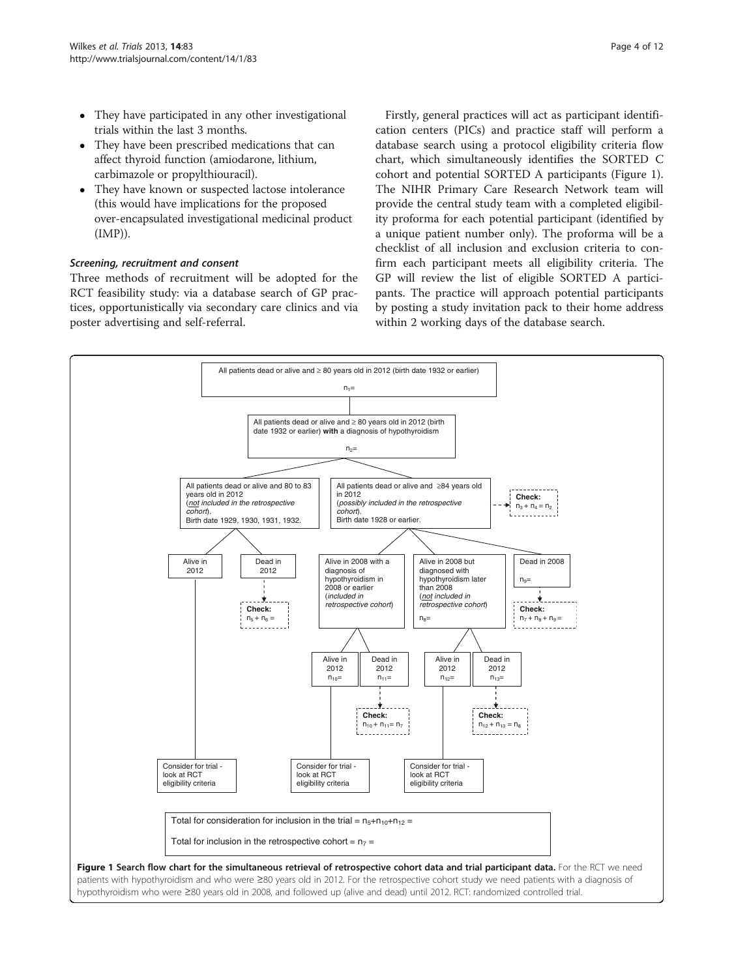- <span id="page-3-0"></span>• They have participated in any other investigational trials within the last 3 months.
- They have been prescribed medications that can affect thyroid function (amiodarone, lithium, carbimazole or propylthiouracil).
- They have known or suspected lactose intolerance (this would have implications for the proposed over-encapsulated investigational medicinal product (IMP)).

## Screening, recruitment and consent

Three methods of recruitment will be adopted for the RCT feasibility study: via a database search of GP practices, opportunistically via secondary care clinics and via poster advertising and self-referral.

Firstly, general practices will act as participant identification centers (PICs) and practice staff will perform a database search using a protocol eligibility criteria flow chart, which simultaneously identifies the SORTED C cohort and potential SORTED A participants (Figure 1). The NIHR Primary Care Research Network team will provide the central study team with a completed eligibility proforma for each potential participant (identified by a unique patient number only). The proforma will be a checklist of all inclusion and exclusion criteria to confirm each participant meets all eligibility criteria. The GP will review the list of eligible SORTED A participants. The practice will approach potential participants by posting a study invitation pack to their home address within 2 working days of the database search.



hypothyroidism who were ≥80 years old in 2008, and followed up (alive and dead) until 2012. RCT: randomized controlled trial.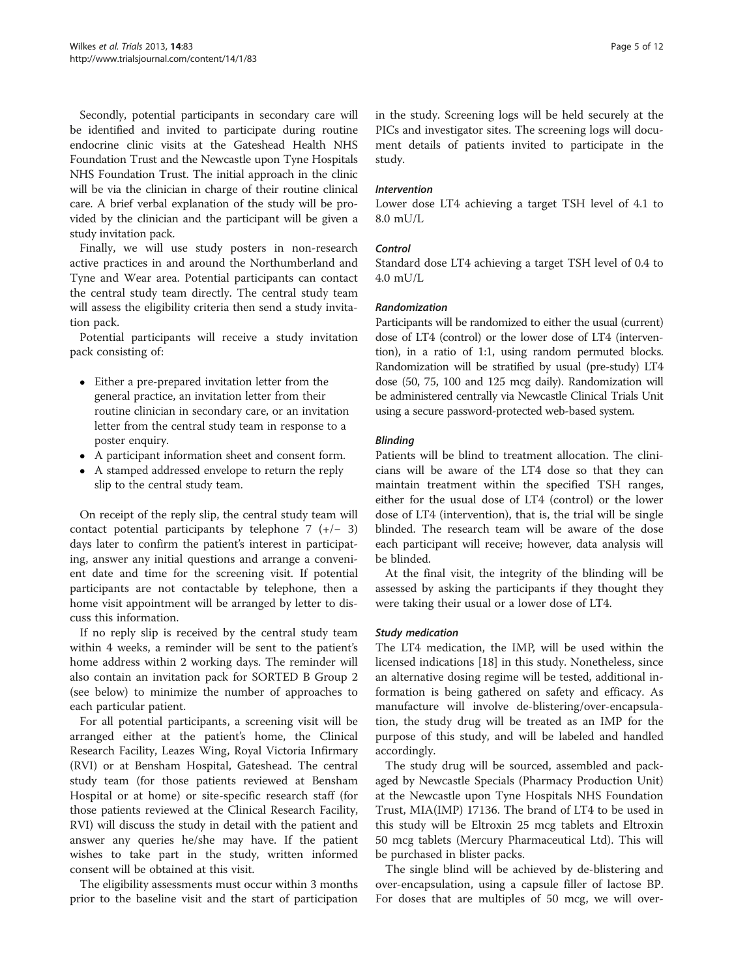Secondly, potential participants in secondary care will be identified and invited to participate during routine endocrine clinic visits at the Gateshead Health NHS Foundation Trust and the Newcastle upon Tyne Hospitals NHS Foundation Trust. The initial approach in the clinic will be via the clinician in charge of their routine clinical care. A brief verbal explanation of the study will be provided by the clinician and the participant will be given a study invitation pack.

Finally, we will use study posters in non-research active practices in and around the Northumberland and Tyne and Wear area. Potential participants can contact the central study team directly. The central study team will assess the eligibility criteria then send a study invitation pack.

Potential participants will receive a study invitation pack consisting of:

- Either a pre-prepared invitation letter from the general practice, an invitation letter from their routine clinician in secondary care, or an invitation letter from the central study team in response to a poster enquiry.
- A participant information sheet and consent form.
- A stamped addressed envelope to return the reply slip to the central study team.

On receipt of the reply slip, the central study team will contact potential participants by telephone 7  $(+/- 3)$ days later to confirm the patient's interest in participating, answer any initial questions and arrange a convenient date and time for the screening visit. If potential participants are not contactable by telephone, then a home visit appointment will be arranged by letter to discuss this information.

If no reply slip is received by the central study team within 4 weeks, a reminder will be sent to the patient's home address within 2 working days. The reminder will also contain an invitation pack for SORTED B Group 2 (see below) to minimize the number of approaches to each particular patient.

For all potential participants, a screening visit will be arranged either at the patient's home, the Clinical Research Facility, Leazes Wing, Royal Victoria Infirmary (RVI) or at Bensham Hospital, Gateshead. The central study team (for those patients reviewed at Bensham Hospital or at home) or site-specific research staff (for those patients reviewed at the Clinical Research Facility, RVI) will discuss the study in detail with the patient and answer any queries he/she may have. If the patient wishes to take part in the study, written informed consent will be obtained at this visit.

The eligibility assessments must occur within 3 months prior to the baseline visit and the start of participation in the study. Screening logs will be held securely at the PICs and investigator sites. The screening logs will document details of patients invited to participate in the study.

## Intervention

Lower dose LT4 achieving a target TSH level of 4.1 to 8.0 mU/L

## **Control**

Standard dose LT4 achieving a target TSH level of 0.4 to  $4.0$  mU/L

## Randomization

Participants will be randomized to either the usual (current) dose of LT4 (control) or the lower dose of LT4 (intervention), in a ratio of 1:1, using random permuted blocks. Randomization will be stratified by usual (pre-study) LT4 dose (50, 75, 100 and 125 mcg daily). Randomization will be administered centrally via Newcastle Clinical Trials Unit using a secure password-protected web-based system.

## Blinding

Patients will be blind to treatment allocation. The clinicians will be aware of the LT4 dose so that they can maintain treatment within the specified TSH ranges, either for the usual dose of LT4 (control) or the lower dose of LT4 (intervention), that is, the trial will be single blinded. The research team will be aware of the dose each participant will receive; however, data analysis will be blinded.

At the final visit, the integrity of the blinding will be assessed by asking the participants if they thought they were taking their usual or a lower dose of LT4.

#### Study medication

The LT4 medication, the IMP, will be used within the licensed indications [\[18\]](#page-11-0) in this study. Nonetheless, since an alternative dosing regime will be tested, additional information is being gathered on safety and efficacy. As manufacture will involve de-blistering/over-encapsulation, the study drug will be treated as an IMP for the purpose of this study, and will be labeled and handled accordingly.

The study drug will be sourced, assembled and packaged by Newcastle Specials (Pharmacy Production Unit) at the Newcastle upon Tyne Hospitals NHS Foundation Trust, MIA(IMP) 17136. The brand of LT4 to be used in this study will be Eltroxin 25 mcg tablets and Eltroxin 50 mcg tablets (Mercury Pharmaceutical Ltd). This will be purchased in blister packs.

The single blind will be achieved by de-blistering and over-encapsulation, using a capsule filler of lactose BP. For doses that are multiples of 50 mcg, we will over-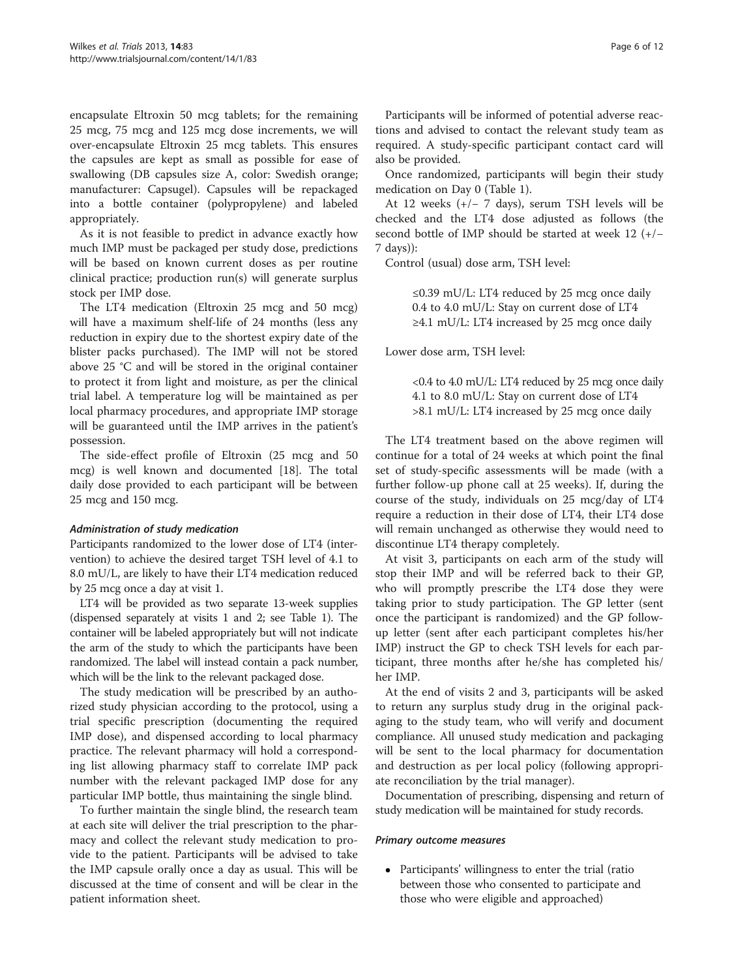encapsulate Eltroxin 50 mcg tablets; for the remaining 25 mcg, 75 mcg and 125 mcg dose increments, we will over-encapsulate Eltroxin 25 mcg tablets. This ensures the capsules are kept as small as possible for ease of swallowing (DB capsules size A, color: Swedish orange; manufacturer: Capsugel). Capsules will be repackaged into a bottle container (polypropylene) and labeled appropriately.

As it is not feasible to predict in advance exactly how much IMP must be packaged per study dose, predictions will be based on known current doses as per routine clinical practice; production run(s) will generate surplus stock per IMP dose.

The LT4 medication (Eltroxin 25 mcg and 50 mcg) will have a maximum shelf-life of 24 months (less any reduction in expiry due to the shortest expiry date of the blister packs purchased). The IMP will not be stored above 25 °C and will be stored in the original container to protect it from light and moisture, as per the clinical trial label. A temperature log will be maintained as per local pharmacy procedures, and appropriate IMP storage will be guaranteed until the IMP arrives in the patient's possession.

The side-effect profile of Eltroxin (25 mcg and 50 mcg) is well known and documented [[18\]](#page-11-0). The total daily dose provided to each participant will be between 25 mcg and 150 mcg.

## Administration of study medication

Participants randomized to the lower dose of LT4 (intervention) to achieve the desired target TSH level of 4.1 to 8.0 mU/L, are likely to have their LT4 medication reduced by 25 mcg once a day at visit 1.

LT4 will be provided as two separate 13-week supplies (dispensed separately at visits 1 and 2; see Table [1](#page-6-0)). The container will be labeled appropriately but will not indicate the arm of the study to which the participants have been randomized. The label will instead contain a pack number, which will be the link to the relevant packaged dose.

The study medication will be prescribed by an authorized study physician according to the protocol, using a trial specific prescription (documenting the required IMP dose), and dispensed according to local pharmacy practice. The relevant pharmacy will hold a corresponding list allowing pharmacy staff to correlate IMP pack number with the relevant packaged IMP dose for any particular IMP bottle, thus maintaining the single blind.

To further maintain the single blind, the research team at each site will deliver the trial prescription to the pharmacy and collect the relevant study medication to provide to the patient. Participants will be advised to take the IMP capsule orally once a day as usual. This will be discussed at the time of consent and will be clear in the patient information sheet.

Participants will be informed of potential adverse reactions and advised to contact the relevant study team as required. A study-specific participant contact card will also be provided.

Once randomized, participants will begin their study medication on Day 0 (Table [1\)](#page-6-0).

At 12 weeks (+/− 7 days), serum TSH levels will be checked and the LT4 dose adjusted as follows (the second bottle of IMP should be started at week 12 (+/− 7 days)):

Control (usual) dose arm, TSH level:

≤0.39 mU/L: LT4 reduced by 25 mcg once daily 0.4 to 4.0 mU/L: Stay on current dose of LT4 ≥4.1 mU/L: LT4 increased by 25 mcg once daily

Lower dose arm, TSH level:

<0.4 to 4.0 mU/L: LT4 reduced by 25 mcg once daily 4.1 to 8.0 mU/L: Stay on current dose of LT4 >8.1 mU/L: LT4 increased by 25 mcg once daily

The LT4 treatment based on the above regimen will continue for a total of 24 weeks at which point the final set of study-specific assessments will be made (with a further follow-up phone call at 25 weeks). If, during the course of the study, individuals on 25 mcg/day of LT4 require a reduction in their dose of LT4, their LT4 dose will remain unchanged as otherwise they would need to discontinue LT4 therapy completely.

At visit 3, participants on each arm of the study will stop their IMP and will be referred back to their GP, who will promptly prescribe the LT4 dose they were taking prior to study participation. The GP letter (sent once the participant is randomized) and the GP followup letter (sent after each participant completes his/her IMP) instruct the GP to check TSH levels for each participant, three months after he/she has completed his/ her IMP.

At the end of visits 2 and 3, participants will be asked to return any surplus study drug in the original packaging to the study team, who will verify and document compliance. All unused study medication and packaging will be sent to the local pharmacy for documentation and destruction as per local policy (following appropriate reconciliation by the trial manager).

Documentation of prescribing, dispensing and return of study medication will be maintained for study records.

#### Primary outcome measures

 Participants' willingness to enter the trial (ratio between those who consented to participate and those who were eligible and approached)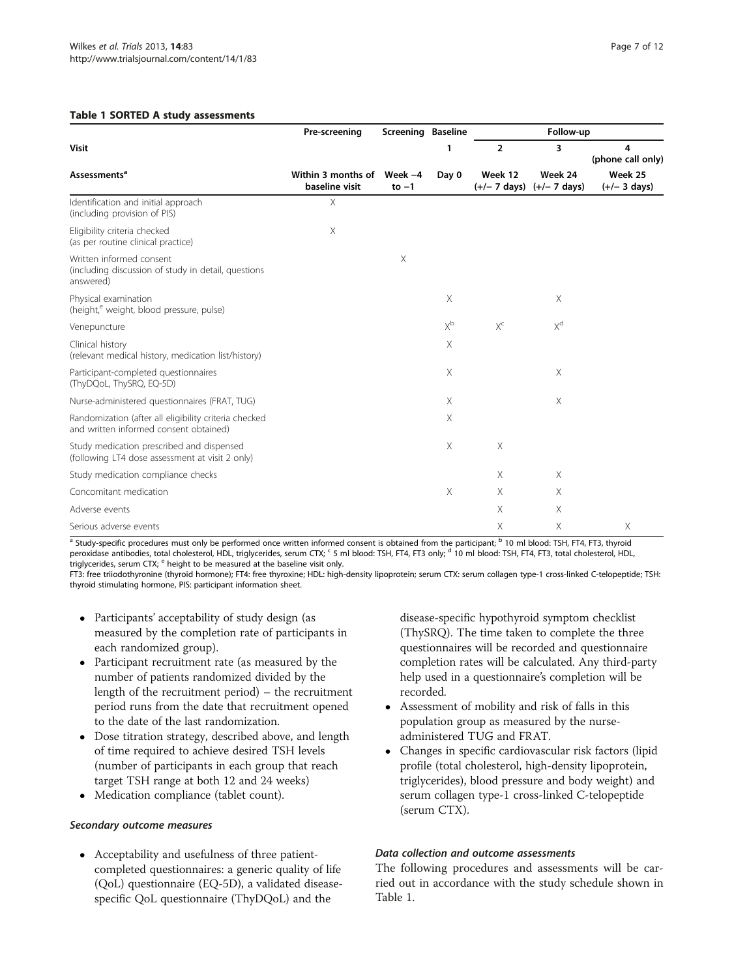## <span id="page-6-0"></span>Table 1 SORTED A study assessments

| <b>Visit</b>                                                                                    | Pre-screening                        | <b>Screening Baseline</b> | 1                | Follow-up      |                                                          |                           |
|-------------------------------------------------------------------------------------------------|--------------------------------------|---------------------------|------------------|----------------|----------------------------------------------------------|---------------------------|
|                                                                                                 |                                      |                           |                  | $\overline{2}$ | 3                                                        | 4<br>(phone call only)    |
| Assessments <sup>a</sup>                                                                        | Within 3 months of<br>baseline visit | Week $-4$<br>to $-1$      | Day 0            | Week 12        | Week 24<br>$(+/- 7 \text{ days})$ $(+/- 7 \text{ days})$ | Week 25<br>$(+/- 3$ days) |
| Identification and initial approach<br>(including provision of PIS)                             | $\times$                             |                           |                  |                |                                                          |                           |
| Eligibility criteria checked<br>(as per routine clinical practice)                              | Χ                                    |                           |                  |                |                                                          |                           |
| Written informed consent<br>(including discussion of study in detail, questions<br>answered)    |                                      | $\times$                  |                  |                |                                                          |                           |
| Physical examination<br>(height, <sup>e</sup> weight, blood pressure, pulse)                    |                                      |                           | $\times$         |                | X                                                        |                           |
| Venepuncture                                                                                    |                                      |                           | $X^{\mathsf{b}}$ | $X^c$          | $X^d$                                                    |                           |
| Clinical history<br>(relevant medical history, medication list/history)                         |                                      |                           | Χ                |                |                                                          |                           |
| Participant-completed questionnaires<br>(ThyDQoL, ThySRQ, EQ-5D)                                |                                      |                           | X                |                | Χ                                                        |                           |
| Nurse-administered questionnaires (FRAT, TUG)                                                   |                                      |                           | X                |                | X                                                        |                           |
| Randomization (after all eligibility criteria checked<br>and written informed consent obtained) |                                      |                           | X                |                |                                                          |                           |
| Study medication prescribed and dispensed<br>(following LT4 dose assessment at visit 2 only)    |                                      |                           | $\times$         | X              |                                                          |                           |
| Study medication compliance checks                                                              |                                      |                           |                  | X              | X                                                        |                           |
| Concomitant medication                                                                          |                                      |                           | $\times$         | X              | X                                                        |                           |
| Adverse events                                                                                  |                                      |                           |                  | X              | X                                                        |                           |
| Serious adverse events                                                                          |                                      |                           |                  | Χ              | Χ                                                        | Χ                         |

<sup>a</sup> Study-specific procedures must only be performed once written informed consent is obtained from the participant; <sup>b</sup> 10 ml blood: TSH, FT4, FT3, thyroid peroxidase antibodies, total cholesterol, HDL, triglycerides, serum CTX; <sup>c</sup> 5 ml blood: TSH, FT4, FT3 only; <sup>d</sup> 10 ml blood: TSH, FT4, FT3, total cholesterol, HDL, triglycerides, serum CTX; <sup>e</sup> height to be measured at the baseline visit only.

FT3: free triiodothyronine (thyroid hormone); FT4: free thyroxine; HDL: high-density lipoprotein; serum CTX: serum collagen type-1 cross-linked C-telopeptide; TSH: thyroid stimulating hormone, PIS: participant information sheet.

- Participants' acceptability of study design (as measured by the completion rate of participants in each randomized group).
- Participant recruitment rate (as measured by the number of patients randomized divided by the length of the recruitment period) – the recruitment period runs from the date that recruitment opened to the date of the last randomization.
- Dose titration strategy, described above, and length of time required to achieve desired TSH levels (number of participants in each group that reach target TSH range at both 12 and 24 weeks)
- Medication compliance (tablet count).

## Secondary outcome measures

 Acceptability and usefulness of three patientcompleted questionnaires: a generic quality of life (QoL) questionnaire (EQ-5D), a validated diseasespecific QoL questionnaire (ThyDQoL) and the

disease-specific hypothyroid symptom checklist (ThySRQ). The time taken to complete the three questionnaires will be recorded and questionnaire completion rates will be calculated. Any third-party help used in a questionnaire's completion will be recorded.

- Assessment of mobility and risk of falls in this population group as measured by the nurseadministered TUG and FRAT.
- Changes in specific cardiovascular risk factors (lipid profile (total cholesterol, high-density lipoprotein, triglycerides), blood pressure and body weight) and serum collagen type-1 cross-linked C-telopeptide (serum CTX).

## Data collection and outcome assessments

The following procedures and assessments will be carried out in accordance with the study schedule shown in Table 1.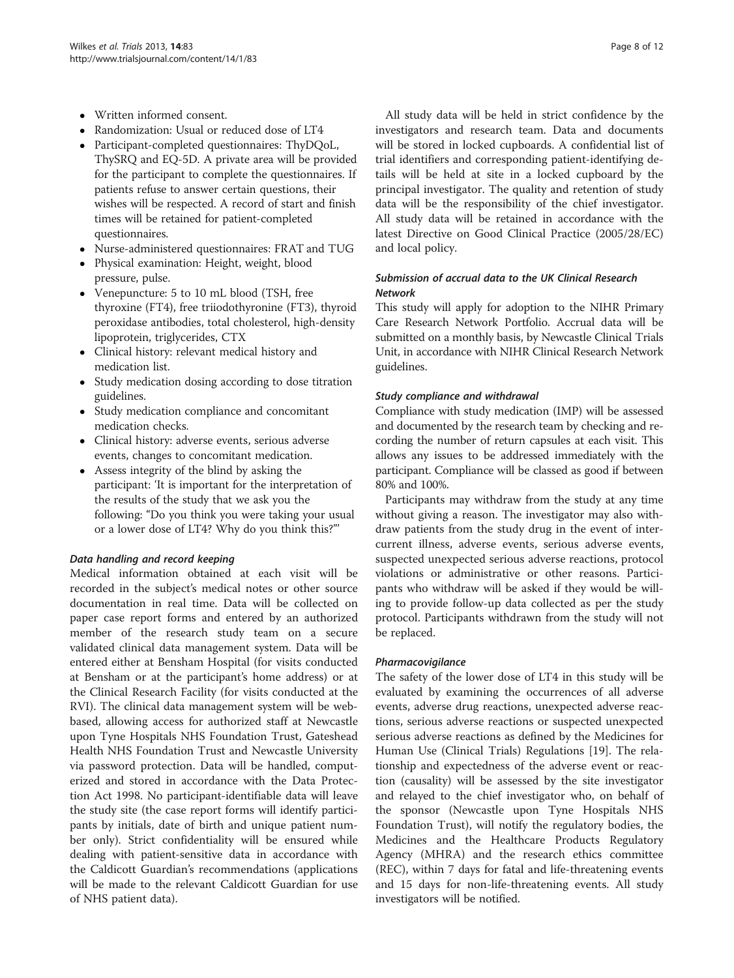- Written informed consent.
- Randomization: Usual or reduced dose of LT4
- Participant-completed questionnaires: ThyDQoL, ThySRQ and EQ-5D. A private area will be provided for the participant to complete the questionnaires. If patients refuse to answer certain questions, their wishes will be respected. A record of start and finish times will be retained for patient-completed questionnaires.
- Nurse-administered questionnaires: FRAT and TUG
- Physical examination: Height, weight, blood pressure, pulse.
- Venepuncture: 5 to 10 mL blood (TSH, free thyroxine (FT4), free triiodothyronine (FT3), thyroid peroxidase antibodies, total cholesterol, high-density lipoprotein, triglycerides, CTX
- Clinical history: relevant medical history and medication list.
- Study medication dosing according to dose titration guidelines.
- Study medication compliance and concomitant medication checks.
- Clinical history: adverse events, serious adverse events, changes to concomitant medication.
- Assess integrity of the blind by asking the participant: 'It is important for the interpretation of the results of the study that we ask you the following: "Do you think you were taking your usual or a lower dose of LT4? Why do you think this?"'

## Data handling and record keeping

Medical information obtained at each visit will be recorded in the subject's medical notes or other source documentation in real time. Data will be collected on paper case report forms and entered by an authorized member of the research study team on a secure validated clinical data management system. Data will be entered either at Bensham Hospital (for visits conducted at Bensham or at the participant's home address) or at the Clinical Research Facility (for visits conducted at the RVI). The clinical data management system will be webbased, allowing access for authorized staff at Newcastle upon Tyne Hospitals NHS Foundation Trust, Gateshead Health NHS Foundation Trust and Newcastle University via password protection. Data will be handled, computerized and stored in accordance with the Data Protection Act 1998. No participant-identifiable data will leave the study site (the case report forms will identify participants by initials, date of birth and unique patient number only). Strict confidentiality will be ensured while dealing with patient-sensitive data in accordance with the Caldicott Guardian's recommendations (applications will be made to the relevant Caldicott Guardian for use of NHS patient data).

All study data will be held in strict confidence by the investigators and research team. Data and documents will be stored in locked cupboards. A confidential list of trial identifiers and corresponding patient-identifying details will be held at site in a locked cupboard by the principal investigator. The quality and retention of study data will be the responsibility of the chief investigator. All study data will be retained in accordance with the latest Directive on Good Clinical Practice (2005/28/EC) and local policy.

## Submission of accrual data to the UK Clinical Research Network

This study will apply for adoption to the NIHR Primary Care Research Network Portfolio. Accrual data will be submitted on a monthly basis, by Newcastle Clinical Trials Unit, in accordance with NIHR Clinical Research Network guidelines.

## Study compliance and withdrawal

Compliance with study medication (IMP) will be assessed and documented by the research team by checking and recording the number of return capsules at each visit. This allows any issues to be addressed immediately with the participant. Compliance will be classed as good if between 80% and 100%.

Participants may withdraw from the study at any time without giving a reason. The investigator may also withdraw patients from the study drug in the event of intercurrent illness, adverse events, serious adverse events, suspected unexpected serious adverse reactions, protocol violations or administrative or other reasons. Participants who withdraw will be asked if they would be willing to provide follow-up data collected as per the study protocol. Participants withdrawn from the study will not be replaced.

## Pharmacovigilance

The safety of the lower dose of LT4 in this study will be evaluated by examining the occurrences of all adverse events, adverse drug reactions, unexpected adverse reactions, serious adverse reactions or suspected unexpected serious adverse reactions as defined by the Medicines for Human Use (Clinical Trials) Regulations [\[19\]](#page-11-0). The relationship and expectedness of the adverse event or reaction (causality) will be assessed by the site investigator and relayed to the chief investigator who, on behalf of the sponsor (Newcastle upon Tyne Hospitals NHS Foundation Trust), will notify the regulatory bodies, the Medicines and the Healthcare Products Regulatory Agency (MHRA) and the research ethics committee (REC), within 7 days for fatal and life-threatening events and 15 days for non-life-threatening events. All study investigators will be notified.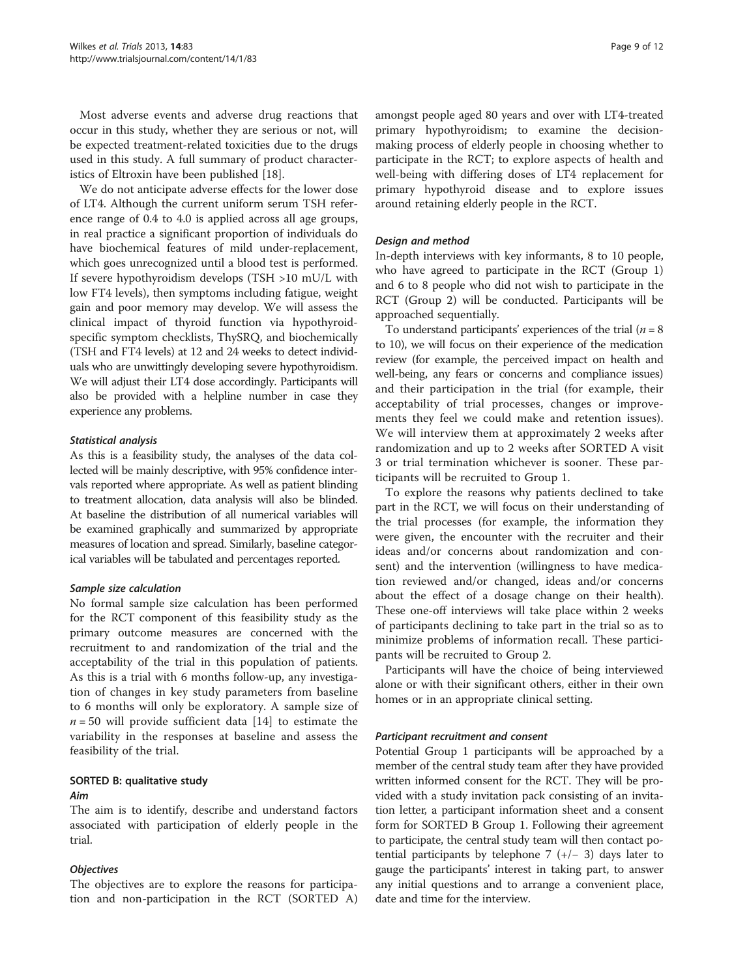Most adverse events and adverse drug reactions that occur in this study, whether they are serious or not, will be expected treatment-related toxicities due to the drugs used in this study. A full summary of product characteristics of Eltroxin have been published [[18\]](#page-11-0).

We do not anticipate adverse effects for the lower dose of LT4. Although the current uniform serum TSH reference range of 0.4 to 4.0 is applied across all age groups, in real practice a significant proportion of individuals do have biochemical features of mild under-replacement, which goes unrecognized until a blood test is performed. If severe hypothyroidism develops (TSH >10 mU/L with low FT4 levels), then symptoms including fatigue, weight gain and poor memory may develop. We will assess the clinical impact of thyroid function via hypothyroidspecific symptom checklists, ThySRQ, and biochemically (TSH and FT4 levels) at 12 and 24 weeks to detect individuals who are unwittingly developing severe hypothyroidism. We will adjust their LT4 dose accordingly. Participants will also be provided with a helpline number in case they experience any problems.

## Statistical analysis

As this is a feasibility study, the analyses of the data collected will be mainly descriptive, with 95% confidence intervals reported where appropriate. As well as patient blinding to treatment allocation, data analysis will also be blinded. At baseline the distribution of all numerical variables will be examined graphically and summarized by appropriate measures of location and spread. Similarly, baseline categorical variables will be tabulated and percentages reported.

#### Sample size calculation

No formal sample size calculation has been performed for the RCT component of this feasibility study as the primary outcome measures are concerned with the recruitment to and randomization of the trial and the acceptability of the trial in this population of patients. As this is a trial with 6 months follow-up, any investigation of changes in key study parameters from baseline to 6 months will only be exploratory. A sample size of  $n = 50$  will provide sufficient data [\[14](#page-11-0)] to estimate the variability in the responses at baseline and assess the feasibility of the trial.

#### SORTED B: qualitative study

#### Aim

The aim is to identify, describe and understand factors associated with participation of elderly people in the trial.

#### **Objectives**

The objectives are to explore the reasons for participation and non-participation in the RCT (SORTED A) amongst people aged 80 years and over with LT4-treated primary hypothyroidism; to examine the decisionmaking process of elderly people in choosing whether to participate in the RCT; to explore aspects of health and well-being with differing doses of LT4 replacement for primary hypothyroid disease and to explore issues around retaining elderly people in the RCT.

## Design and method

In-depth interviews with key informants, 8 to 10 people, who have agreed to participate in the RCT (Group 1) and 6 to 8 people who did not wish to participate in the RCT (Group 2) will be conducted. Participants will be approached sequentially.

To understand participants' experiences of the trial  $(n = 8)$ to 10), we will focus on their experience of the medication review (for example, the perceived impact on health and well-being, any fears or concerns and compliance issues) and their participation in the trial (for example, their acceptability of trial processes, changes or improvements they feel we could make and retention issues). We will interview them at approximately 2 weeks after randomization and up to 2 weeks after SORTED A visit 3 or trial termination whichever is sooner. These participants will be recruited to Group 1.

To explore the reasons why patients declined to take part in the RCT, we will focus on their understanding of the trial processes (for example, the information they were given, the encounter with the recruiter and their ideas and/or concerns about randomization and consent) and the intervention (willingness to have medication reviewed and/or changed, ideas and/or concerns about the effect of a dosage change on their health). These one-off interviews will take place within 2 weeks of participants declining to take part in the trial so as to minimize problems of information recall. These participants will be recruited to Group 2.

Participants will have the choice of being interviewed alone or with their significant others, either in their own homes or in an appropriate clinical setting.

## Participant recruitment and consent

Potential Group 1 participants will be approached by a member of the central study team after they have provided written informed consent for the RCT. They will be provided with a study invitation pack consisting of an invitation letter, a participant information sheet and a consent form for SORTED B Group 1. Following their agreement to participate, the central study team will then contact potential participants by telephone 7 (+/− 3) days later to gauge the participants' interest in taking part, to answer any initial questions and to arrange a convenient place, date and time for the interview.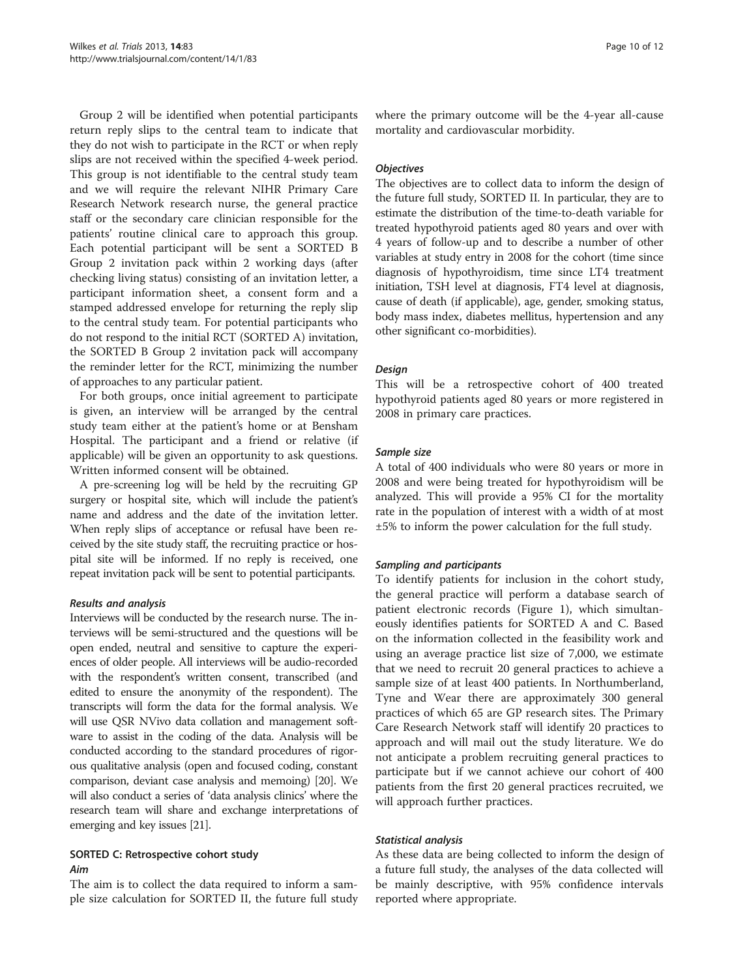Group 2 will be identified when potential participants return reply slips to the central team to indicate that they do not wish to participate in the RCT or when reply slips are not received within the specified 4-week period. This group is not identifiable to the central study team and we will require the relevant NIHR Primary Care Research Network research nurse, the general practice staff or the secondary care clinician responsible for the patients' routine clinical care to approach this group. Each potential participant will be sent a SORTED B Group 2 invitation pack within 2 working days (after checking living status) consisting of an invitation letter, a participant information sheet, a consent form and a stamped addressed envelope for returning the reply slip to the central study team. For potential participants who do not respond to the initial RCT (SORTED A) invitation, the SORTED B Group 2 invitation pack will accompany the reminder letter for the RCT, minimizing the number of approaches to any particular patient.

For both groups, once initial agreement to participate is given, an interview will be arranged by the central study team either at the patient's home or at Bensham Hospital. The participant and a friend or relative (if applicable) will be given an opportunity to ask questions. Written informed consent will be obtained.

A pre-screening log will be held by the recruiting GP surgery or hospital site, which will include the patient's name and address and the date of the invitation letter. When reply slips of acceptance or refusal have been received by the site study staff, the recruiting practice or hospital site will be informed. If no reply is received, one repeat invitation pack will be sent to potential participants.

## Results and analysis

Interviews will be conducted by the research nurse. The interviews will be semi-structured and the questions will be open ended, neutral and sensitive to capture the experiences of older people. All interviews will be audio-recorded with the respondent's written consent, transcribed (and edited to ensure the anonymity of the respondent). The transcripts will form the data for the formal analysis. We will use QSR NVivo data collation and management software to assist in the coding of the data. Analysis will be conducted according to the standard procedures of rigorous qualitative analysis (open and focused coding, constant comparison, deviant case analysis and memoing) [\[20\]](#page-11-0). We will also conduct a series of 'data analysis clinics' where the research team will share and exchange interpretations of emerging and key issues [\[21](#page-11-0)].

#### SORTED C: Retrospective cohort study Aim

The aim is to collect the data required to inform a sample size calculation for SORTED II, the future full study where the primary outcome will be the 4-year all-cause mortality and cardiovascular morbidity.

## **Objectives**

The objectives are to collect data to inform the design of the future full study, SORTED II. In particular, they are to estimate the distribution of the time-to-death variable for treated hypothyroid patients aged 80 years and over with 4 years of follow-up and to describe a number of other variables at study entry in 2008 for the cohort (time since diagnosis of hypothyroidism, time since LT4 treatment initiation, TSH level at diagnosis, FT4 level at diagnosis, cause of death (if applicable), age, gender, smoking status, body mass index, diabetes mellitus, hypertension and any other significant co-morbidities).

## **Desian**

This will be a retrospective cohort of 400 treated hypothyroid patients aged 80 years or more registered in 2008 in primary care practices.

#### Sample size

A total of 400 individuals who were 80 years or more in 2008 and were being treated for hypothyroidism will be analyzed. This will provide a 95% CI for the mortality rate in the population of interest with a width of at most ±5% to inform the power calculation for the full study.

#### Sampling and participants

To identify patients for inclusion in the cohort study, the general practice will perform a database search of patient electronic records (Figure [1](#page-3-0)), which simultaneously identifies patients for SORTED A and C. Based on the information collected in the feasibility work and using an average practice list size of 7,000, we estimate that we need to recruit 20 general practices to achieve a sample size of at least 400 patients. In Northumberland, Tyne and Wear there are approximately 300 general practices of which 65 are GP research sites. The Primary Care Research Network staff will identify 20 practices to approach and will mail out the study literature. We do not anticipate a problem recruiting general practices to participate but if we cannot achieve our cohort of 400 patients from the first 20 general practices recruited, we will approach further practices.

#### Statistical analysis

As these data are being collected to inform the design of a future full study, the analyses of the data collected will be mainly descriptive, with 95% confidence intervals reported where appropriate.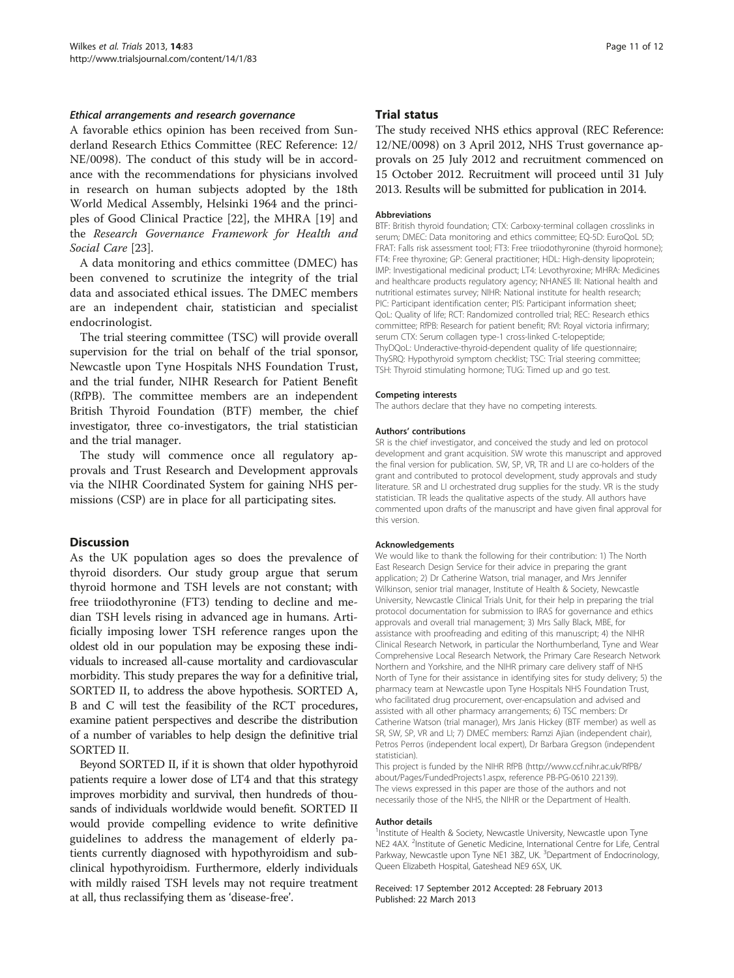#### Ethical arrangements and research governance

A favorable ethics opinion has been received from Sunderland Research Ethics Committee (REC Reference: 12/ NE/0098). The conduct of this study will be in accordance with the recommendations for physicians involved in research on human subjects adopted by the 18th World Medical Assembly, Helsinki 1964 and the principles of Good Clinical Practice [\[22](#page-11-0)], the MHRA [\[19\]](#page-11-0) and the Research Governance Framework for Health and Social Care [[23](#page-11-0)].

A data monitoring and ethics committee (DMEC) has been convened to scrutinize the integrity of the trial data and associated ethical issues. The DMEC members are an independent chair, statistician and specialist endocrinologist.

The trial steering committee (TSC) will provide overall supervision for the trial on behalf of the trial sponsor, Newcastle upon Tyne Hospitals NHS Foundation Trust, and the trial funder, NIHR Research for Patient Benefit (RfPB). The committee members are an independent British Thyroid Foundation (BTF) member, the chief investigator, three co-investigators, the trial statistician and the trial manager.

The study will commence once all regulatory approvals and Trust Research and Development approvals via the NIHR Coordinated System for gaining NHS permissions (CSP) are in place for all participating sites.

#### **Discussion**

As the UK population ages so does the prevalence of thyroid disorders. Our study group argue that serum thyroid hormone and TSH levels are not constant; with free triiodothyronine (FT3) tending to decline and median TSH levels rising in advanced age in humans. Artificially imposing lower TSH reference ranges upon the oldest old in our population may be exposing these individuals to increased all-cause mortality and cardiovascular morbidity. This study prepares the way for a definitive trial, SORTED II, to address the above hypothesis. SORTED A, B and C will test the feasibility of the RCT procedures, examine patient perspectives and describe the distribution of a number of variables to help design the definitive trial SORTED II.

Beyond SORTED II, if it is shown that older hypothyroid patients require a lower dose of LT4 and that this strategy improves morbidity and survival, then hundreds of thousands of individuals worldwide would benefit. SORTED II would provide compelling evidence to write definitive guidelines to address the management of elderly patients currently diagnosed with hypothyroidism and subclinical hypothyroidism. Furthermore, elderly individuals with mildly raised TSH levels may not require treatment at all, thus reclassifying them as 'disease-free'.

#### Trial status

The study received NHS ethics approval (REC Reference: 12/NE/0098) on 3 April 2012, NHS Trust governance approvals on 25 July 2012 and recruitment commenced on 15 October 2012. Recruitment will proceed until 31 July 2013. Results will be submitted for publication in 2014.

#### Abbreviations

BTF: British thyroid foundation; CTX: Carboxy-terminal collagen crosslinks in serum; DMEC: Data monitoring and ethics committee; EQ-5D: EuroQoL 5D; FRAT: Falls risk assessment tool; FT3: Free triiodothyronine (thyroid hormone); FT4: Free thyroxine; GP: General practitioner; HDL: High-density lipoprotein; IMP: Investigational medicinal product; LT4: Levothyroxine; MHRA: Medicines and healthcare products regulatory agency; NHANES III: National health and nutritional estimates survey; NIHR: National institute for health research; PIC: Participant identification center; PIS: Participant information sheet; QoL: Quality of life; RCT: Randomized controlled trial; REC: Research ethics committee; RfPB: Research for patient benefit; RVI: Royal victoria infirmary; serum CTX: Serum collagen type-1 cross-linked C-telopeptide; ThyDQoL: Underactive-thyroid-dependent quality of life questionnaire; ThySRQ: Hypothyroid symptom checklist; TSC: Trial steering committee; TSH: Thyroid stimulating hormone; TUG: Timed up and go test.

#### Competing interests

The authors declare that they have no competing interests.

#### Authors' contributions

SR is the chief investigator, and conceived the study and led on protocol development and grant acquisition. SW wrote this manuscript and approved the final version for publication. SW, SP, VR, TR and LI are co-holders of the grant and contributed to protocol development, study approvals and study literature. SR and LI orchestrated drug supplies for the study. VR is the study statistician. TR leads the qualitative aspects of the study. All authors have commented upon drafts of the manuscript and have given final approval for this version.

#### Acknowledgements

We would like to thank the following for their contribution: 1) The North East Research Design Service for their advice in preparing the grant application; 2) Dr Catherine Watson, trial manager, and Mrs Jennifer Wilkinson, senior trial manager, Institute of Health & Society, Newcastle University, Newcastle Clinical Trials Unit, for their help in preparing the trial protocol documentation for submission to IRAS for governance and ethics approvals and overall trial management; 3) Mrs Sally Black, MBE, for assistance with proofreading and editing of this manuscript; 4) the NIHR Clinical Research Network, in particular the Northumberland, Tyne and Wear Comprehensive Local Research Network, the Primary Care Research Network Northern and Yorkshire, and the NIHR primary care delivery staff of NHS North of Tyne for their assistance in identifying sites for study delivery; 5) the pharmacy team at Newcastle upon Tyne Hospitals NHS Foundation Trust, who facilitated drug procurement, over-encapsulation and advised and assisted with all other pharmacy arrangements; 6) TSC members: Dr Catherine Watson (trial manager), Mrs Janis Hickey (BTF member) as well as SR, SW, SP, VR and LI; 7) DMEC members: Ramzi Ajian (independent chair), Petros Perros (independent local expert), Dr Barbara Gregson (independent statistician).

This project is funded by the NIHR RfPB [\(http://www.ccf.nihr.ac.uk/RfPB/](http://www.ccf.nihr.ac.uk/RfPB/about/Pages/FundedProjects1.aspx) [about/Pages/FundedProjects1.aspx,](http://www.ccf.nihr.ac.uk/RfPB/about/Pages/FundedProjects1.aspx) reference PB-PG-0610 22139). The views expressed in this paper are those of the authors and not necessarily those of the NHS, the NIHR or the Department of Health.

#### Author details

<sup>1</sup>Institute of Health & Society, Newcastle University, Newcastle upon Tyne NE2 4AX. <sup>2</sup>Institute of Genetic Medicine, International Centre for Life, Central Parkway, Newcastle upon Tyne NE1 3BZ, UK. <sup>3</sup>Department of Endocrinology Queen Elizabeth Hospital, Gateshead NE9 6SX, UK.

Received: 17 September 2012 Accepted: 28 February 2013 Published: 22 March 2013